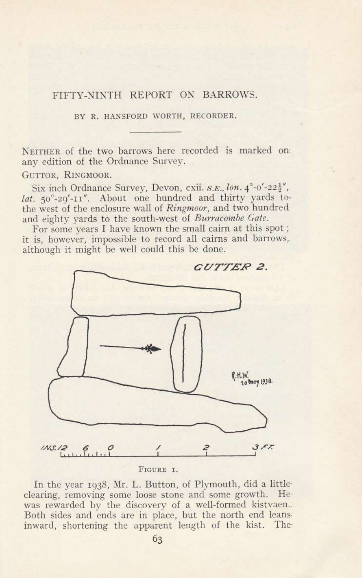## FIFTY-NINTH REPORT ON BARROWS.

BY R. HANSFORD WORTH, RECORDER.

NEITHER of the two barrows here recorded is marked on any edition of the Ordnance Survey.

GUTTOR, RINGMOOR.

Six inch Ordnance Survey, Devon, cxii. s.E., lon. 4°-0'-22}", lat. 50°-29'-II". About one hundred and thirty yards tothe west of the enclosure wall of Ringmoor, and two hundred and eighty yards to the south-west of Burracombe Gate.

For some years I have known the small cairn at this spot; it is, however, impossible to record all cairns and barrows, although it might be well could this be done.



FIGURE I.

In the year 1938, Mr. L. Button, of Plymouth, did a little clearing, removing some loose stone and some growth. He was rewarded by the discovery of a well-formed kistvaen. Both sides and ends are in place, but the north end leans inward, shortening the apparent length of the kist. The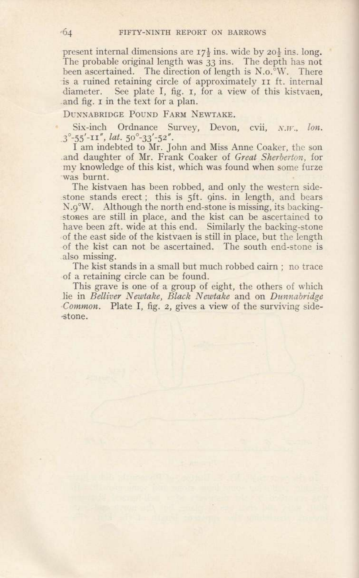present internal dimensions are  $17\frac{1}{2}$  ins. wide by  $20\frac{1}{2}$  ins. long. The probable original length was 33 ins. The depth has not been ascertained. The direction of length is N.o.<sup>o</sup>W. There is a ruined retaining circle of approximately  $\overline{r}$  a ruined retaining circle of approximately  $\overline{r}$  rs ft. internal diameter. See plate I, fig. r, for a view of this kistvaen, .and fig. r in the text for a plan.

## DUNNABRIDGE POUND FARM NEWTAKE.

Six-inch Ordnance Survey, Devon, cvii, N.W., lon.  $3^{\circ}$ -55'-II", lat. 50 $^{\circ}$ -33'-52".

I am indebted to Mr. John and Miss Anne Coaker, the son and daughter of Mr. Frank Coaker of Great Sherberton, for my knowledge of this kist, which was found when some furze was burnt.

The kistvaen has been robbed, and only the western sidestone stands erect; this is 5ft. gins. in length, and bears N.9"W. Although the north end-stone is missing, its backing- .stones are still in place, and the kist can be ascertained to have been zft. wide at this end. Similarly the backing-stone of the east side of the kistvaen is still in place, but the length cf the kist can not be ascertained. The south end-stone is also missing.

The kist stands in a small but much robbed cairn ; no trace of a retaining circle can be found.

This grave is one of a group of eight, the others of which lie in Belliver Newtake, Black Newtake and on Dunnabridge Common. Plate I, fig. 2, gives a view of the surviving side-\*tone.